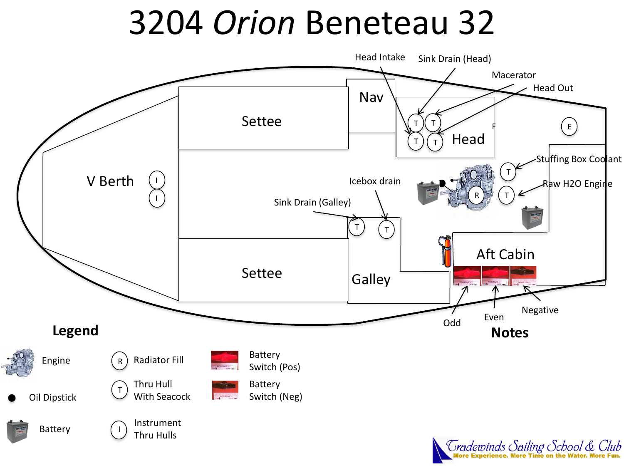## 3204 *Orion* Beneteau 32





*Tradewinds Sailing School & Club*<br>More Experience. More Time on the Water. More Fun.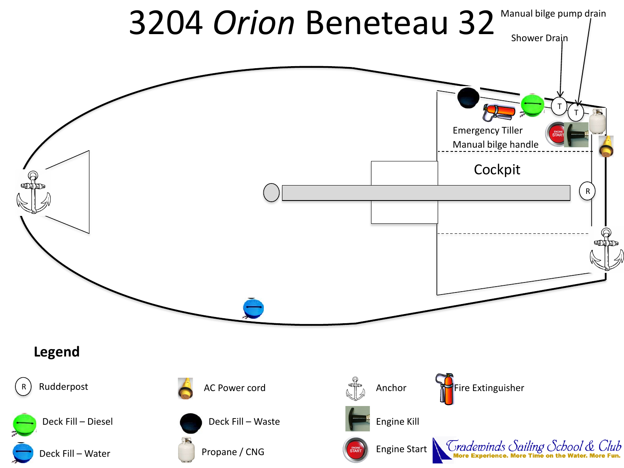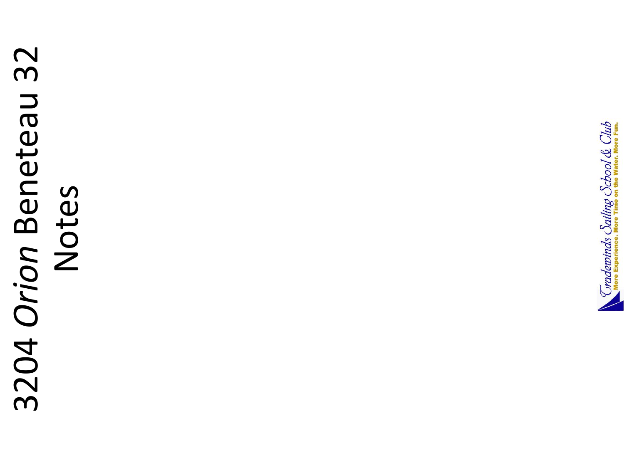# 3204 Orion Beneteau 32 3204 *Orion* Beneteau 32 Notes

![](_page_2_Picture_1.jpeg)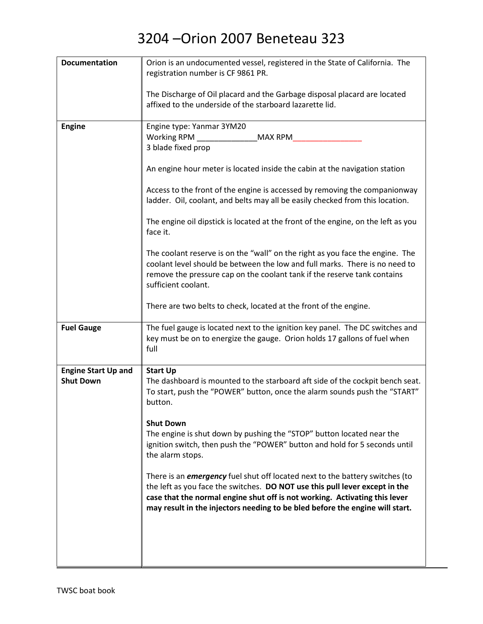| <b>Documentation</b>       | Orion is an undocumented vessel, registered in the State of California. The<br>registration number is CF 9861 PR.                                                                                                                                                                                                                |
|----------------------------|----------------------------------------------------------------------------------------------------------------------------------------------------------------------------------------------------------------------------------------------------------------------------------------------------------------------------------|
|                            |                                                                                                                                                                                                                                                                                                                                  |
|                            | The Discharge of Oil placard and the Garbage disposal placard are located<br>affixed to the underside of the starboard lazarette lid.                                                                                                                                                                                            |
| <b>Engine</b>              | Engine type: Yanmar 3YM20                                                                                                                                                                                                                                                                                                        |
|                            | Working RPM<br><b>MAX RPM</b>                                                                                                                                                                                                                                                                                                    |
|                            | 3 blade fixed prop                                                                                                                                                                                                                                                                                                               |
|                            | An engine hour meter is located inside the cabin at the navigation station                                                                                                                                                                                                                                                       |
|                            | Access to the front of the engine is accessed by removing the companionway<br>ladder. Oil, coolant, and belts may all be easily checked from this location.                                                                                                                                                                      |
|                            | The engine oil dipstick is located at the front of the engine, on the left as you<br>face it.                                                                                                                                                                                                                                    |
|                            | The coolant reserve is on the "wall" on the right as you face the engine. The<br>coolant level should be between the low and full marks. There is no need to<br>remove the pressure cap on the coolant tank if the reserve tank contains<br>sufficient coolant.                                                                  |
|                            | There are two belts to check, located at the front of the engine.                                                                                                                                                                                                                                                                |
| <b>Fuel Gauge</b>          | The fuel gauge is located next to the ignition key panel. The DC switches and<br>key must be on to energize the gauge. Orion holds 17 gallons of fuel when<br>full                                                                                                                                                               |
| <b>Engine Start Up and</b> | <b>Start Up</b>                                                                                                                                                                                                                                                                                                                  |
| <b>Shut Down</b>           | The dashboard is mounted to the starboard aft side of the cockpit bench seat.<br>To start, push the "POWER" button, once the alarm sounds push the "START"<br>button.                                                                                                                                                            |
|                            | <b>Shut Down</b>                                                                                                                                                                                                                                                                                                                 |
|                            | The engine is shut down by pushing the "STOP" button located near the<br>ignition switch, then push the "POWER" button and hold for 5 seconds until<br>the alarm stops.                                                                                                                                                          |
|                            | There is an <i>emergency</i> fuel shut off located next to the battery switches (to<br>the left as you face the switches. DO NOT use this pull lever except in the<br>case that the normal engine shut off is not working. Activating this lever<br>may result in the injectors needing to be bled before the engine will start. |
|                            |                                                                                                                                                                                                                                                                                                                                  |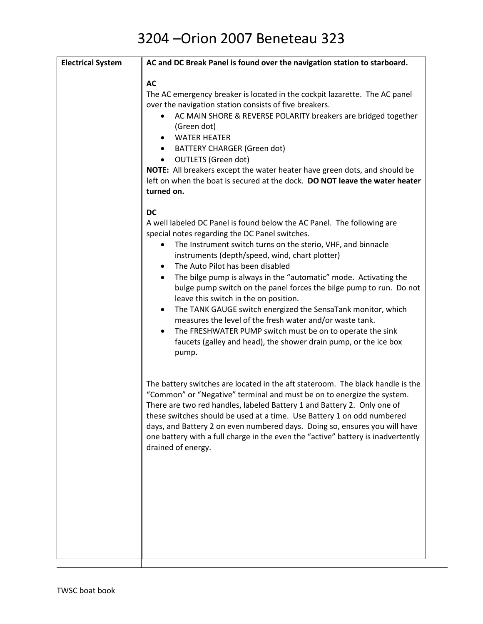| <b>Electrical System</b> | AC and DC Break Panel is found over the navigation station to starboard.                                                                                                                                                                                                                                                                                                                                                                                                                                                                                                                                                                                                                                                                                                                                       |
|--------------------------|----------------------------------------------------------------------------------------------------------------------------------------------------------------------------------------------------------------------------------------------------------------------------------------------------------------------------------------------------------------------------------------------------------------------------------------------------------------------------------------------------------------------------------------------------------------------------------------------------------------------------------------------------------------------------------------------------------------------------------------------------------------------------------------------------------------|
|                          | <b>AC</b><br>The AC emergency breaker is located in the cockpit lazarette. The AC panel<br>over the navigation station consists of five breakers.<br>AC MAIN SHORE & REVERSE POLARITY breakers are bridged together<br>$\bullet$<br>(Green dot)<br><b>WATER HEATER</b><br><b>BATTERY CHARGER (Green dot)</b><br><b>OUTLETS (Green dot)</b><br>$\bullet$<br>NOTE: All breakers except the water heater have green dots, and should be<br>left on when the boat is secured at the dock. DO NOT leave the water heater<br>turned on.                                                                                                                                                                                                                                                                              |
|                          | <b>DC</b><br>A well labeled DC Panel is found below the AC Panel. The following are<br>special notes regarding the DC Panel switches.<br>The Instrument switch turns on the sterio, VHF, and binnacle<br>٠<br>instruments (depth/speed, wind, chart plotter)<br>The Auto Pilot has been disabled<br>$\bullet$<br>The bilge pump is always in the "automatic" mode. Activating the<br>$\bullet$<br>bulge pump switch on the panel forces the bilge pump to run. Do not<br>leave this switch in the on position.<br>The TANK GAUGE switch energized the SensaTank monitor, which<br>$\bullet$<br>measures the level of the fresh water and/or waste tank.<br>The FRESHWATER PUMP switch must be on to operate the sink<br>$\bullet$<br>faucets (galley and head), the shower drain pump, or the ice box<br>pump. |
|                          | The battery switches are located in the aft stateroom. The black handle is the<br>"Common" or "Negative" terminal and must be on to energize the system.<br>There are two red handles, labeled Battery 1 and Battery 2. Only one of<br>these switches should be used at a time. Use Battery 1 on odd numbered<br>days, and Battery 2 on even numbered days. Doing so, ensures you will have<br>one battery with a full charge in the even the "active" battery is inadvertently<br>drained of energy.                                                                                                                                                                                                                                                                                                          |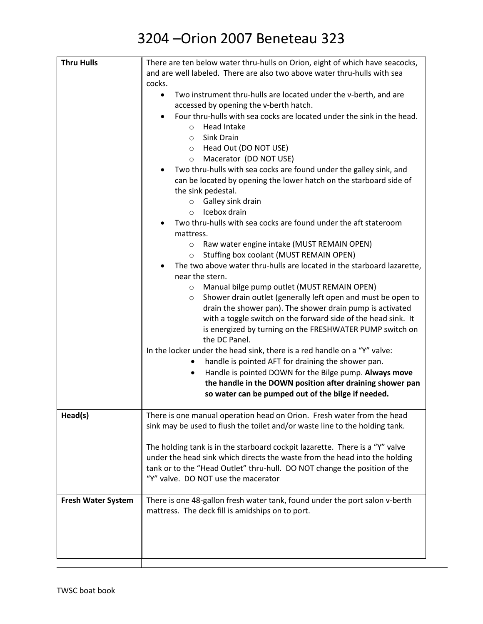| <b>Thru Hulls</b>         | There are ten below water thru-hulls on Orion, eight of which have seacocks,  |
|---------------------------|-------------------------------------------------------------------------------|
|                           | and are well labeled. There are also two above water thru-hulls with sea      |
|                           | cocks.                                                                        |
|                           | Two instrument thru-hulls are located under the v-berth, and are<br>$\bullet$ |
|                           | accessed by opening the v-berth hatch.                                        |
|                           | Four thru-hulls with sea cocks are located under the sink in the head.        |
|                           | Head Intake<br>$\circ$                                                        |
|                           | Sink Drain<br>$\Omega$                                                        |
|                           | Head Out (DO NOT USE)<br>$\circ$                                              |
|                           | Macerator (DO NOT USE)<br>$\circ$                                             |
|                           | Two thru-hulls with sea cocks are found under the galley sink, and            |
|                           | can be located by opening the lower hatch on the starboard side of            |
|                           | the sink pedestal.                                                            |
|                           | Galley sink drain<br>$\circ$                                                  |
|                           | Icebox drain<br>$\circ$                                                       |
|                           | Two thru-hulls with sea cocks are found under the aft stateroom               |
|                           |                                                                               |
|                           | mattress.                                                                     |
|                           | Raw water engine intake (MUST REMAIN OPEN)<br>$\circ$                         |
|                           | Stuffing box coolant (MUST REMAIN OPEN)<br>$\circ$                            |
|                           | The two above water thru-hulls are located in the starboard lazarette,        |
|                           | near the stern.                                                               |
|                           | Manual bilge pump outlet (MUST REMAIN OPEN)<br>$\circ$                        |
|                           | Shower drain outlet (generally left open and must be open to<br>$\circ$       |
|                           | drain the shower pan). The shower drain pump is activated                     |
|                           | with a toggle switch on the forward side of the head sink. It                 |
|                           | is energized by turning on the FRESHWATER PUMP switch on                      |
|                           | the DC Panel.                                                                 |
|                           | In the locker under the head sink, there is a red handle on a "Y" valve:      |
|                           | handle is pointed AFT for draining the shower pan.                            |
|                           | Handle is pointed DOWN for the Bilge pump. Always move<br>$\bullet$           |
|                           | the handle in the DOWN position after draining shower pan                     |
|                           | so water can be pumped out of the bilge if needed.                            |
| Head(s)                   | There is one manual operation head on Orion. Fresh water from the head        |
|                           | sink may be used to flush the toilet and/or waste line to the holding tank.   |
|                           |                                                                               |
|                           | The holding tank is in the starboard cockpit lazarette. There is a "Y" valve  |
|                           | under the head sink which directs the waste from the head into the holding    |
|                           | tank or to the "Head Outlet" thru-hull. DO NOT change the position of the     |
|                           | "Y" valve. DO NOT use the macerator                                           |
|                           |                                                                               |
| <b>Fresh Water System</b> | There is one 48-gallon fresh water tank, found under the port salon v-berth   |
|                           | mattress. The deck fill is amidships on to port.                              |
|                           |                                                                               |
|                           |                                                                               |
|                           |                                                                               |
|                           |                                                                               |
|                           |                                                                               |

H